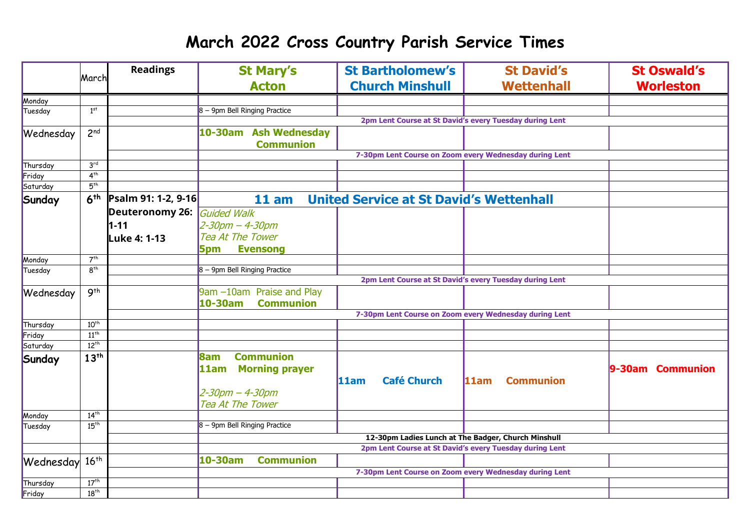## **March 2022 Cross Country Parish Service Times**

|           | March                                                                                             | <b>Readings</b>        | <b>St Mary's</b>                                        | <b>St Bartholomew's</b>    | <b>St David's</b>                                       | <b>St Oswald's</b> |  |  |
|-----------|---------------------------------------------------------------------------------------------------|------------------------|---------------------------------------------------------|----------------------------|---------------------------------------------------------|--------------------|--|--|
|           |                                                                                                   |                        | <b>Acton</b>                                            | <b>Church Minshull</b>     | <b>Wettenhall</b>                                       | <b>Worleston</b>   |  |  |
| Monday    |                                                                                                   |                        |                                                         |                            |                                                         |                    |  |  |
| Tuesday   | $1^{st}$                                                                                          |                        | 8 - 9pm Bell Ringing Practice                           |                            |                                                         |                    |  |  |
|           |                                                                                                   |                        | 2pm Lent Course at St David's every Tuesday during Lent |                            |                                                         |                    |  |  |
| Wednesday | 2 <sup>nd</sup>                                                                                   |                        | 10-30am Ash Wednesday                                   |                            |                                                         |                    |  |  |
|           |                                                                                                   |                        | <b>Communion</b>                                        |                            |                                                         |                    |  |  |
|           |                                                                                                   |                        |                                                         |                            | 7-30pm Lent Course on Zoom every Wednesday during Lent  |                    |  |  |
| Thursday  | 3 <sup>rd</sup>                                                                                   |                        |                                                         |                            |                                                         |                    |  |  |
| Friday    | 4 <sup>th</sup>                                                                                   |                        |                                                         |                            |                                                         |                    |  |  |
| Saturday  | 5 <sup>th</sup>                                                                                   |                        |                                                         |                            |                                                         |                    |  |  |
| Sunday    | <b>United Service at St David's Wettenhall</b><br>6 <sup>th</sup><br>Psalm 91: 1-2, 9-16<br>11 am |                        |                                                         |                            |                                                         |                    |  |  |
|           |                                                                                                   | <b>Deuteronomy 26:</b> | Guided Walk                                             |                            |                                                         |                    |  |  |
|           |                                                                                                   | $1 - 11$               | 2-30pm - 4-30pm                                         |                            |                                                         |                    |  |  |
|           |                                                                                                   | Luke 4: 1-13           | <b>Tea At The Tower</b>                                 |                            |                                                         |                    |  |  |
|           |                                                                                                   |                        | <b>Evensong</b><br>5pm                                  |                            |                                                         |                    |  |  |
| Monday    | 7 <sup>th</sup>                                                                                   |                        |                                                         |                            |                                                         |                    |  |  |
| Tuesday   | 8 <sup>th</sup>                                                                                   |                        | 8 - 9pm Bell Ringing Practice                           |                            |                                                         |                    |  |  |
|           | 2pm Lent Course at St David's every Tuesday during Lent                                           |                        |                                                         |                            |                                                         |                    |  |  |
| Wednesday | 9 <sup>th</sup>                                                                                   |                        | 9am -10am Praise and Play                               |                            |                                                         |                    |  |  |
|           |                                                                                                   |                        | 10-30am<br><b>Communion</b>                             |                            |                                                         |                    |  |  |
|           |                                                                                                   |                        |                                                         |                            | 7-30pm Lent Course on Zoom every Wednesday during Lent  |                    |  |  |
| Thursday  | $10^{th}$                                                                                         |                        |                                                         |                            |                                                         |                    |  |  |
| Friday    | $11^{th}$                                                                                         |                        |                                                         |                            |                                                         |                    |  |  |
| Saturday  | $12^{th}$                                                                                         |                        |                                                         |                            |                                                         |                    |  |  |
| Sunday    | 13 <sup>th</sup>                                                                                  |                        | <b>Communion</b><br>8am                                 |                            |                                                         |                    |  |  |
|           |                                                                                                   |                        | 11am Morning prayer                                     |                            |                                                         | 9-30am Communion   |  |  |
|           |                                                                                                   |                        |                                                         | <b>Café Church</b><br>11am | 11am<br><b>Communion</b>                                |                    |  |  |
|           |                                                                                                   |                        | $2 - 30$ pm $- 4 - 30$ pm                               |                            |                                                         |                    |  |  |
|           |                                                                                                   |                        | Tea At The Tower                                        |                            |                                                         |                    |  |  |
| Monday    | 14 <sup>th</sup>                                                                                  |                        |                                                         |                            |                                                         |                    |  |  |
| Tuesday   | 15 <sup>th</sup>                                                                                  |                        | $8 - 9$ pm Bell Ringing Practice                        |                            |                                                         |                    |  |  |
|           |                                                                                                   |                        | 12-30pm Ladies Lunch at The Badger, Church Minshull     |                            |                                                         |                    |  |  |
|           |                                                                                                   |                        |                                                         |                            | 2pm Lent Course at St David's every Tuesday during Lent |                    |  |  |
| Wednesday | $16^{th}$                                                                                         |                        | <b>Communion</b><br>10-30am                             |                            |                                                         |                    |  |  |
|           |                                                                                                   |                        |                                                         |                            | 7-30pm Lent Course on Zoom every Wednesday during Lent  |                    |  |  |
| Thursday  | 17 <sup>th</sup>                                                                                  |                        |                                                         |                            |                                                         |                    |  |  |
| Friday    | $18^{th}$                                                                                         |                        |                                                         |                            |                                                         |                    |  |  |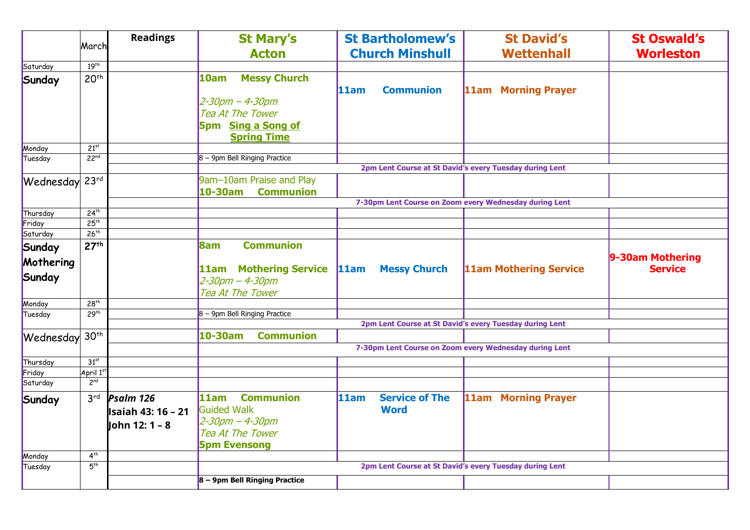|                     | March            | <b>Readings</b>     | <b>St Mary's</b><br><b>Acton</b>                        |      | <b>St Bartholomew's</b><br><b>Church Minshull</b>       |  | <b>St David's</b><br><b>Wettenhall</b> | <b>St Oswald's</b><br><b>Worleston</b> |
|---------------------|------------------|---------------------|---------------------------------------------------------|------|---------------------------------------------------------|--|----------------------------------------|----------------------------------------|
| Saturday            | 19 <sup>th</sup> |                     |                                                         |      |                                                         |  |                                        |                                        |
| Sunday              | 20 <sup>th</sup> |                     | <b>Messy Church</b><br>10am                             | 11am | <b>Communion</b>                                        |  | 11am Morning Prayer                    |                                        |
|                     |                  |                     | $2 - 30$ pm $- 4 - 30$ pm                               |      |                                                         |  |                                        |                                        |
|                     |                  |                     | <b>Tea At The Tower</b>                                 |      |                                                         |  |                                        |                                        |
|                     |                  |                     | 5pm Sing a Song of                                      |      |                                                         |  |                                        |                                        |
|                     |                  |                     | <b>Spring Time</b>                                      |      |                                                         |  |                                        |                                        |
| Monday              | 21 <sup>st</sup> |                     |                                                         |      |                                                         |  |                                        |                                        |
| Tuesday             | 22 <sup>nd</sup> |                     | $8 - 9$ pm Bell Ringing Practice                        |      |                                                         |  |                                        |                                        |
|                     |                  |                     | 2pm Lent Course at St David's every Tuesday during Lent |      |                                                         |  |                                        |                                        |
| Wednesday           | 23 <sup>rd</sup> |                     | 9am-10am Praise and Play                                |      |                                                         |  |                                        |                                        |
|                     |                  |                     | 10-30am Communion                                       |      |                                                         |  |                                        |                                        |
|                     |                  |                     |                                                         |      | 7-30pm Lent Course on Zoom every Wednesday during Lent  |  |                                        |                                        |
| Thursday            | 24 <sup>th</sup> |                     |                                                         |      |                                                         |  |                                        |                                        |
| Friday              | 25 <sup>th</sup> |                     |                                                         |      |                                                         |  |                                        |                                        |
| Saturday            | 26 <sup>th</sup> |                     |                                                         |      |                                                         |  |                                        |                                        |
| Sunday<br>Mothering | 27 <sup>th</sup> |                     | <b>Communion</b><br><b>8am</b>                          |      |                                                         |  |                                        | 9-30am Mothering                       |
|                     |                  |                     | 11am Mothering Service                                  | 11am | <b>Messy Church</b>                                     |  | <b>11am Mothering Service</b>          | <b>Service</b>                         |
| Sunday              |                  |                     | $2 - 30$ pm $- 4 - 30$ pm                               |      |                                                         |  |                                        |                                        |
|                     |                  |                     | Tea At The Tower                                        |      |                                                         |  |                                        |                                        |
| Monday              | 28 <sup>th</sup> |                     |                                                         |      |                                                         |  |                                        |                                        |
| Tuesday             | 29 <sup>th</sup> |                     | 8 - 9pm Bell Ringing Practice                           |      |                                                         |  |                                        |                                        |
|                     |                  |                     | 2pm Lent Course at St David's every Tuesday during Lent |      |                                                         |  |                                        |                                        |
| Wednesday           | 30 <sup>th</sup> |                     | $10-30am$<br><b>Communion</b>                           |      |                                                         |  |                                        |                                        |
|                     |                  |                     | 7-30pm Lent Course on Zoom every Wednesday during Lent  |      |                                                         |  |                                        |                                        |
| Thursday            | 31 <sup>st</sup> |                     |                                                         |      |                                                         |  |                                        |                                        |
| Friday              | April 1st        |                     |                                                         |      |                                                         |  |                                        |                                        |
| Saturday            | 2 <sup>nd</sup>  |                     |                                                         |      |                                                         |  |                                        |                                        |
| Sunday              | 3 <sup>rd</sup>  | Psalm 126           | <b>Communion</b><br>11am                                | 11am | <b>Service of The</b>                                   |  | 11am Morning Prayer                    |                                        |
|                     |                  | llsaiah 43: 16 – 21 | Guided Walk                                             |      | <b>Word</b>                                             |  |                                        |                                        |
|                     |                  | John 12: 1 - 8      | $2 - 30$ pm $- 4 - 30$ pm                               |      |                                                         |  |                                        |                                        |
|                     |                  |                     | Tea At The Tower                                        |      |                                                         |  |                                        |                                        |
|                     |                  |                     | <b>5pm Evensong</b>                                     |      |                                                         |  |                                        |                                        |
| Monday              | 4 <sup>th</sup>  |                     |                                                         |      |                                                         |  |                                        |                                        |
| Tuesday             | 5 <sup>th</sup>  |                     |                                                         |      | 2pm Lent Course at St David's every Tuesday during Lent |  |                                        |                                        |
|                     |                  |                     | 8 - 9pm Bell Ringing Practice                           |      |                                                         |  |                                        |                                        |
|                     |                  |                     |                                                         |      |                                                         |  |                                        |                                        |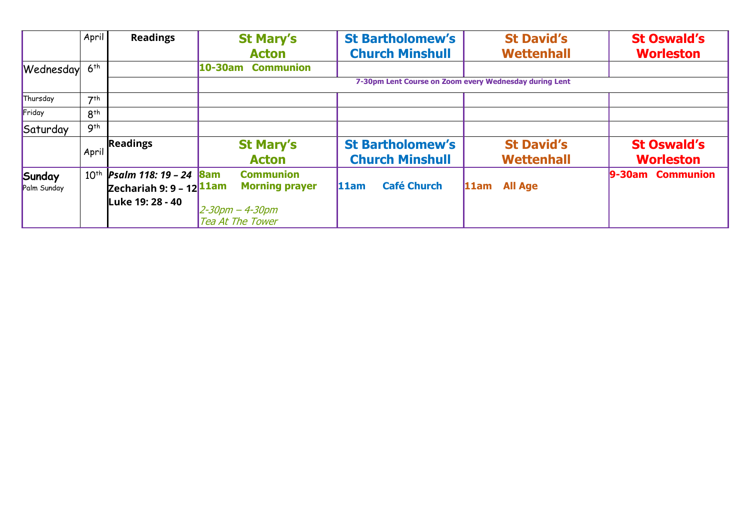|                       | April           | <b>Readings</b>                                                       | <b>St Mary's</b><br><b>Acton</b>                                                                         | <b>St Bartholomew's</b><br><b>Church Minshull</b> | <b>St David's</b><br><b>Wettenhall</b> | <b>St Oswald's</b><br><b>Worleston</b> |  |
|-----------------------|-----------------|-----------------------------------------------------------------------|----------------------------------------------------------------------------------------------------------|---------------------------------------------------|----------------------------------------|----------------------------------------|--|
| Wednesday             | 6 <sup>th</sup> |                                                                       | $10 - 30$ am<br><b>Communion</b>                                                                         |                                                   |                                        |                                        |  |
|                       |                 |                                                                       | 7-30pm Lent Course on Zoom every Wednesday during Lent                                                   |                                                   |                                        |                                        |  |
| Thursday              | 7 <sup>th</sup> |                                                                       |                                                                                                          |                                                   |                                        |                                        |  |
| Friday                | $R^{th}$        |                                                                       |                                                                                                          |                                                   |                                        |                                        |  |
| Saturday              | 9 <sup>th</sup> |                                                                       |                                                                                                          |                                                   |                                        |                                        |  |
|                       | April           | <b>Readings</b>                                                       | <b>St Mary's</b><br><b>Acton</b>                                                                         | <b>St Bartholomew's</b><br><b>Church Minshull</b> | <b>St David's</b><br><b>Wettenhall</b> | <b>St Oswald's</b><br><b>Worleston</b> |  |
| Sunday<br>Palm Sunday | $10^{th}$       | Psalm 118: 19 - 24<br>Zechariah 9: 9 - 12 $1$ 1am<br>Luke 19: 28 - 40 | <b>Communion</b><br><b>Bam</b><br><b>Morning prayer</b><br>$2 - 30$ pm $- 4 - 30$ pm<br>Tea At The Tower | <b>Café Church</b><br>11am                        | <b>All Age</b><br>11am                 | 9-30am Communion                       |  |